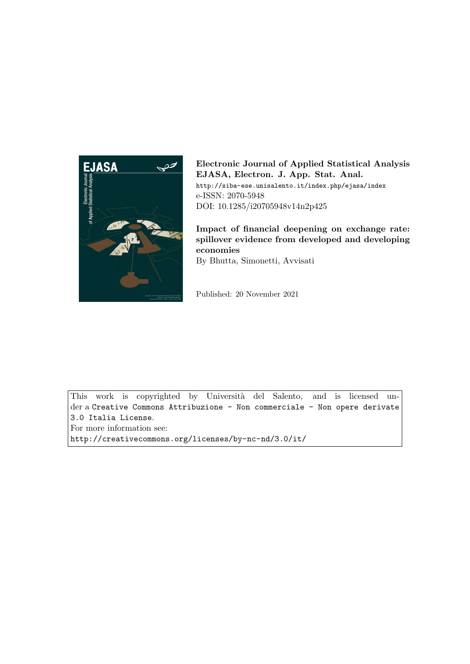

Electronic Journal of Applied Statistical Analysis EJASA, Electron. J. App. Stat. Anal. http://siba-ese.unisalento.it/index.php/ejasa/index e-ISSN: 2070-5948 DOI: 10.1285/i20705948v14n2p425

Impact of financial deepening on exchange rate: spillover evidence from developed and developing economies By Bhutta, Simonetti, Avvisati

Published: 20 November 2021

This work is copyrighted by Università del Salento, and is licensed under a Creative Commons Attribuzione - Non commerciale - Non opere derivate 3.0 Italia License.

For more information see:

http://creativecommons.org/licenses/by-nc-nd/3.0/it/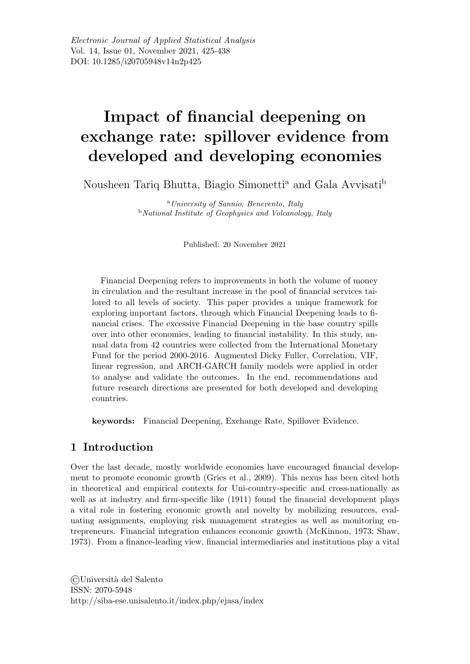# Impact of financial deepening on exchange rate: spillover evidence from developed and developing economies

Nousheen Tariq Bhutta, Biagio Simonetti<sup>a</sup> and Gala Avvisati<sup>b</sup>

<sup>a</sup>University of Sannio, Benevento, Italy **b**National Institute of Geophysics and Volcanology, Italy

Published: 20 November 2021

Financial Deepening refers to improvements in both the volume of money in circulation and the resultant increase in the pool of financial services tailored to all levels of society. This paper provides a unique framework for exploring important factors, through which Financial Deepening leads to financial crises. The excessive Financial Deepening in the base country spills over into other economies, leading to financial instability. In this study, annual data from 42 countries were collected from the International Monetary Fund for the period 2000-2016. Augmented Dicky Fuller, Correlation, VIF, linear regression, and ARCH-GARCH family models were applied in order to analyse and validate the outcomes. In the end, recommendations and future research directions are presented for both developed and developing countries.

keywords: Financial Deepening, Exchange Rate, Spillover Evidence.

# 1 Introduction

Over the last decade, mostly worldwide economies have encouraged financial development to promote economic growth (Gries et al., 2009). This nexus has been cited both in theoretical and empirical contexts for Uni-country-specific and cross-nationally as well as at industry and firm-specific like (1911) found the financial development plays a vital role in fostering economic growth and novelty by mobilizing resources, evaluating assignments, employing risk management strategies as well as monitoring entrepreneurs. Financial integration enhances economic growth (McKinnon, 1973; Shaw, 1973). From a finance-leading view, financial intermediaries and institutions play a vital

©Universit`a del Salento ISSN: 2070-5948 http://siba-ese.unisalento.it/index.php/ejasa/index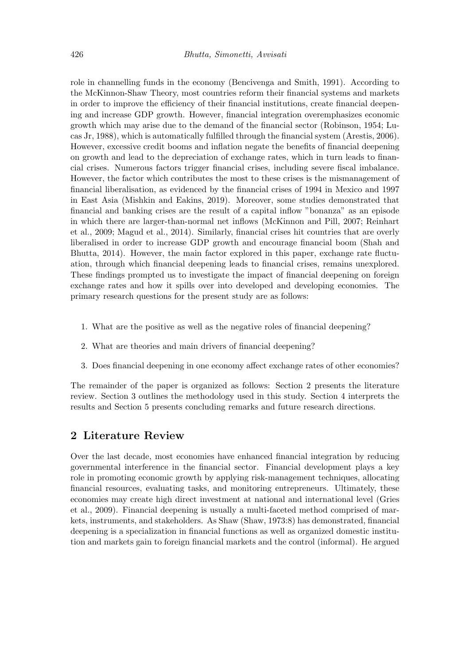role in channelling funds in the economy (Bencivenga and Smith, 1991). According to the McKinnon-Shaw Theory, most countries reform their financial systems and markets in order to improve the efficiency of their financial institutions, create financial deepening and increase GDP growth. However, financial integration overemphasizes economic growth which may arise due to the demand of the financial sector (Robinson, 1954; Lucas Jr, 1988), which is automatically fulfilled through the financial system (Arestis, 2006). However, excessive credit booms and inflation negate the benefits of financial deepening on growth and lead to the depreciation of exchange rates, which in turn leads to financial crises. Numerous factors trigger financial crises, including severe fiscal imbalance. However, the factor which contributes the most to these crises is the mismanagement of financial liberalisation, as evidenced by the financial crises of 1994 in Mexico and 1997 in East Asia (Mishkin and Eakins, 2019). Moreover, some studies demonstrated that financial and banking crises are the result of a capital inflow "bonanza" as an episode in which there are larger-than-normal net inflows (McKinnon and Pill, 2007; Reinhart et al., 2009; Magud et al., 2014). Similarly, financial crises hit countries that are overly liberalised in order to increase GDP growth and encourage financial boom (Shah and Bhutta, 2014). However, the main factor explored in this paper, exchange rate fluctuation, through which financial deepening leads to financial crises, remains unexplored. These findings prompted us to investigate the impact of financial deepening on foreign exchange rates and how it spills over into developed and developing economies. The primary research questions for the present study are as follows:

- 1. What are the positive as well as the negative roles of financial deepening?
- 2. What are theories and main drivers of financial deepening?
- 3. Does financial deepening in one economy affect exchange rates of other economies?

The remainder of the paper is organized as follows: Section 2 presents the literature review. Section 3 outlines the methodology used in this study. Section 4 interprets the results and Section 5 presents concluding remarks and future research directions.

## 2 Literature Review

Over the last decade, most economies have enhanced financial integration by reducing governmental interference in the financial sector. Financial development plays a key role in promoting economic growth by applying risk-management techniques, allocating financial resources, evaluating tasks, and monitoring entrepreneurs. Ultimately, these economies may create high direct investment at national and international level (Gries et al., 2009). Financial deepening is usually a multi-faceted method comprised of markets, instruments, and stakeholders. As Shaw (Shaw, 1973:8) has demonstrated, financial deepening is a specialization in financial functions as well as organized domestic institution and markets gain to foreign financial markets and the control (informal). He argued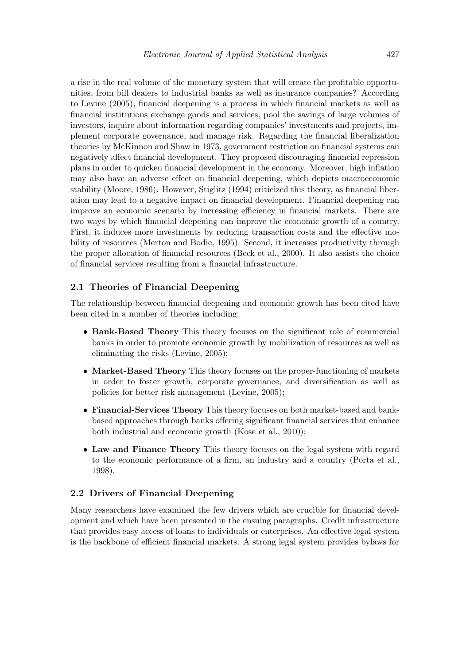a rise in the real volume of the monetary system that will create the profitable opportunities, from bill dealers to industrial banks as well as insurance companies? According to Levine (2005), financial deepening is a process in which financial markets as well as financial institutions exchange goods and services, pool the savings of large volumes of investors, inquire about information regarding companies' investments and projects, implement corporate governance, and manage risk. Regarding the financial liberalization theories by McKinnon and Shaw in 1973, government restriction on financial systems can negatively affect financial development. They proposed discouraging financial repression plans in order to quicken financial development in the economy. Moreover, high inflation may also have an adverse effect on financial deepening, which depicts macroeconomic stability (Moore, 1986). However, Stiglitz (1994) criticized this theory, as financial liberation may lead to a negative impact on financial development. Financial deepening can improve an economic scenario by increasing efficiency in financial markets. There are two ways by which financial deepening can improve the economic growth of a country. First, it induces more investments by reducing transaction costs and the effective mobility of resources (Merton and Bodie, 1995). Second, it increases productivity through the proper allocation of financial resources (Beck et al., 2000). It also assists the choice of financial services resulting from a financial infrastructure.

#### 2.1 Theories of Financial Deepening

The relationship between financial deepening and economic growth has been cited have been cited in a number of theories including:

- Bank-Based Theory This theory focuses on the significant role of commercial banks in order to promote economic growth by mobilization of resources as well as eliminating the risks (Levine, 2005);
- Market-Based Theory This theory focuses on the proper-functioning of markets in order to foster growth, corporate governance, and diversification as well as policies for better risk management (Levine, 2005);
- Financial-Services Theory This theory focuses on both market-based and bankbased approaches through banks offering significant financial services that enhance both industrial and economic growth (Kose et al., 2010);
- Law and Finance Theory This theory focuses on the legal system with regard to the economic performance of a firm, an industry and a country (Porta et al., 1998).

#### 2.2 Drivers of Financial Deepening

Many researchers have examined the few drivers which are crucible for financial development and which have been presented in the ensuing paragraphs. Credit infrastructure that provides easy access of loans to individuals or enterprises. An effective legal system is the backbone of efficient financial markets. A strong legal system provides bylaws for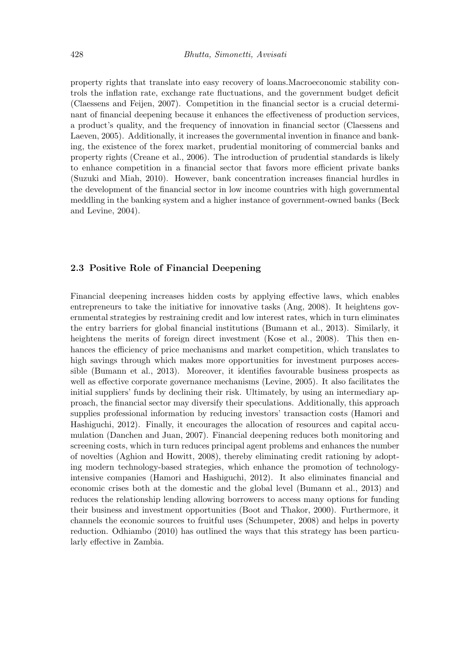property rights that translate into easy recovery of loans.Macroeconomic stability controls the inflation rate, exchange rate fluctuations, and the government budget deficit (Claessens and Feijen, 2007). Competition in the financial sector is a crucial determinant of financial deepening because it enhances the effectiveness of production services, a product's quality, and the frequency of innovation in financial sector (Claessens and Laeven, 2005). Additionally, it increases the governmental invention in finance and banking, the existence of the forex market, prudential monitoring of commercial banks and property rights (Creane et al., 2006). The introduction of prudential standards is likely to enhance competition in a financial sector that favors more efficient private banks (Suzuki and Miah, 2010). However, bank concentration increases financial hurdles in the development of the financial sector in low income countries with high governmental meddling in the banking system and a higher instance of government-owned banks (Beck and Levine, 2004).

#### 2.3 Positive Role of Financial Deepening

Financial deepening increases hidden costs by applying effective laws, which enables entrepreneurs to take the initiative for innovative tasks (Ang, 2008). It heightens governmental strategies by restraining credit and low interest rates, which in turn eliminates the entry barriers for global financial institutions (Bumann et al., 2013). Similarly, it heightens the merits of foreign direct investment (Kose et al., 2008). This then enhances the efficiency of price mechanisms and market competition, which translates to high savings through which makes more opportunities for investment purposes accessible (Bumann et al., 2013). Moreover, it identifies favourable business prospects as well as effective corporate governance mechanisms (Levine, 2005). It also facilitates the initial suppliers' funds by declining their risk. Ultimately, by using an intermediary approach, the financial sector may diversify their speculations. Additionally, this approach supplies professional information by reducing investors' transaction costs (Hamori and Hashiguchi, 2012). Finally, it encourages the allocation of resources and capital accumulation (Danchen and Juan, 2007). Financial deepening reduces both monitoring and screening costs, which in turn reduces principal agent problems and enhances the number of novelties (Aghion and Howitt, 2008), thereby eliminating credit rationing by adopting modern technology-based strategies, which enhance the promotion of technologyintensive companies (Hamori and Hashiguchi, 2012). It also eliminates financial and economic crises both at the domestic and the global level (Bumann et al., 2013) and reduces the relationship lending allowing borrowers to access many options for funding their business and investment opportunities (Boot and Thakor, 2000). Furthermore, it channels the economic sources to fruitful uses (Schumpeter, 2008) and helps in poverty reduction. Odhiambo (2010) has outlined the ways that this strategy has been particularly effective in Zambia.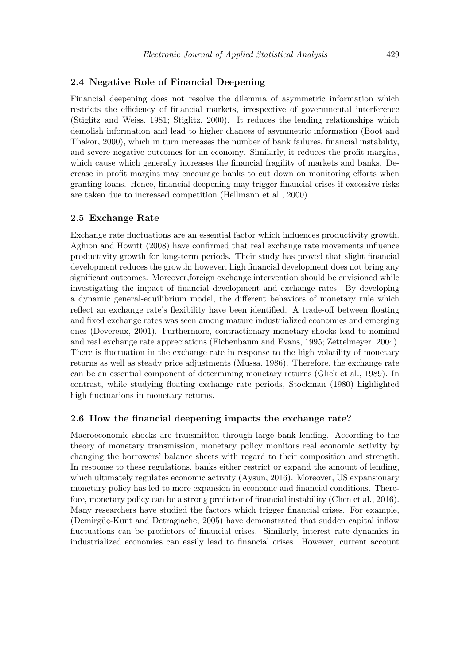#### 2.4 Negative Role of Financial Deepening

Financial deepening does not resolve the dilemma of asymmetric information which restricts the efficiency of financial markets, irrespective of governmental interference (Stiglitz and Weiss, 1981; Stiglitz, 2000). It reduces the lending relationships which demolish information and lead to higher chances of asymmetric information (Boot and Thakor, 2000), which in turn increases the number of bank failures, financial instability, and severe negative outcomes for an economy. Similarly, it reduces the profit margins, which cause which generally increases the financial fragility of markets and banks. Decrease in profit margins may encourage banks to cut down on monitoring efforts when granting loans. Hence, financial deepening may trigger financial crises if excessive risks are taken due to increased competition (Hellmann et al., 2000).

#### 2.5 Exchange Rate

Exchange rate fluctuations are an essential factor which influences productivity growth. Aghion and Howitt (2008) have confirmed that real exchange rate movements influence productivity growth for long-term periods. Their study has proved that slight financial development reduces the growth; however, high financial development does not bring any significant outcomes. Moreover,foreign exchange intervention should be envisioned while investigating the impact of financial development and exchange rates. By developing a dynamic general-equilibrium model, the different behaviors of monetary rule which reflect an exchange rate's flexibility have been identified. A trade-off between floating and fixed exchange rates was seen among mature industrialized economies and emerging ones (Devereux, 2001). Furthermore, contractionary monetary shocks lead to nominal and real exchange rate appreciations (Eichenbaum and Evans, 1995; Zettelmeyer, 2004). There is fluctuation in the exchange rate in response to the high volatility of monetary returns as well as steady price adjustments (Mussa, 1986). Therefore, the exchange rate can be an essential component of determining monetary returns (Glick et al., 1989). In contrast, while studying floating exchange rate periods, Stockman (1980) highlighted high fluctuations in monetary returns.

## 2.6 How the financial deepening impacts the exchange rate?

Macroeconomic shocks are transmitted through large bank lending. According to the theory of monetary transmission, monetary policy monitors real economic activity by changing the borrowers' balance sheets with regard to their composition and strength. In response to these regulations, banks either restrict or expand the amount of lending, which ultimately regulates economic activity (Aysun, 2016). Moreover, US expansionary monetary policy has led to more expansion in economic and financial conditions. Therefore, monetary policy can be a strong predictor of financial instability (Chen et al., 2016). Many researchers have studied the factors which trigger financial crises. For example, (Demirgüç-Kunt and Detragiache, 2005) have demonstrated that sudden capital inflow fluctuations can be predictors of financial crises. Similarly, interest rate dynamics in industrialized economies can easily lead to financial crises. However, current account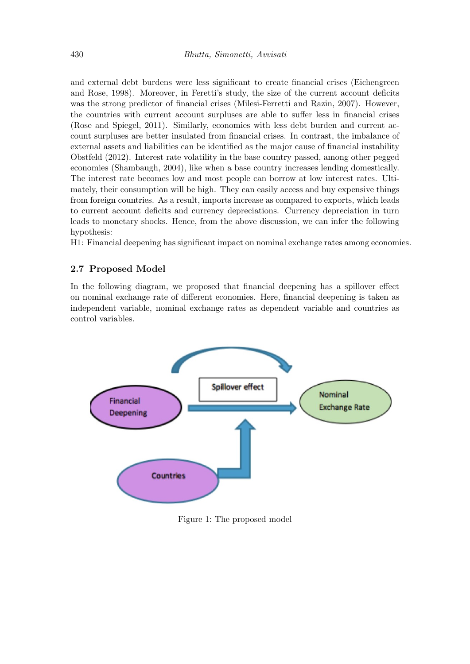and external debt burdens were less significant to create financial crises (Eichengreen and Rose, 1998). Moreover, in Feretti's study, the size of the current account deficits was the strong predictor of financial crises (Milesi-Ferretti and Razin, 2007). However, the countries with current account surpluses are able to suffer less in financial crises (Rose and Spiegel, 2011). Similarly, economies with less debt burden and current account surpluses are better insulated from financial crises. In contrast, the imbalance of external assets and liabilities can be identified as the major cause of financial instability Obstfeld (2012). Interest rate volatility in the base country passed, among other pegged economies (Shambaugh, 2004), like when a base country increases lending domestically. The interest rate becomes low and most people can borrow at low interest rates. Ultimately, their consumption will be high. They can easily access and buy expensive things from foreign countries. As a result, imports increase as compared to exports, which leads to current account deficits and currency depreciations. Currency depreciation in turn leads to monetary shocks. Hence, from the above discussion, we can infer the following hypothesis:

H1: Financial deepening has significant impact on nominal exchange rates among economies.

#### 2.7 Proposed Model

In the following diagram, we proposed that financial deepening has a spillover effect on nominal exchange rate of different economies. Here, financial deepening is taken as independent variable, nominal exchange rates as dependent variable and countries as control variables.



Figure 1: The proposed model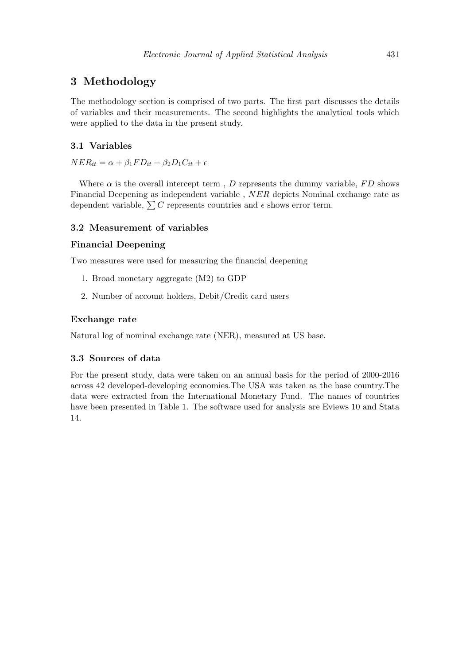## 3 Methodology

The methodology section is comprised of two parts. The first part discusses the details of variables and their measurements. The second highlights the analytical tools which were applied to the data in the present study.

#### 3.1 Variables

 $NER_{it} = \alpha + \beta_1 FD_{it} + \beta_2 D_1 C_{it} + \epsilon$ 

Where  $\alpha$  is the overall intercept term, D represents the dummy variable, FD shows Financial Deepening as independent variable , NER depicts Nominal exchange rate as dependent variable,  $\sum C$  represents countries and  $\epsilon$  shows error term.

#### 3.2 Measurement of variables

#### Financial Deepening

Two measures were used for measuring the financial deepening

- 1. Broad monetary aggregate (M2) to GDP
- 2. Number of account holders, Debit/Credit card users

#### Exchange rate

Natural log of nominal exchange rate (NER), measured at US base.

#### 3.3 Sources of data

For the present study, data were taken on an annual basis for the period of 2000-2016 across 42 developed-developing economies.The USA was taken as the base country.The data were extracted from the International Monetary Fund. The names of countries have been presented in Table 1. The software used for analysis are Eviews 10 and Stata 14.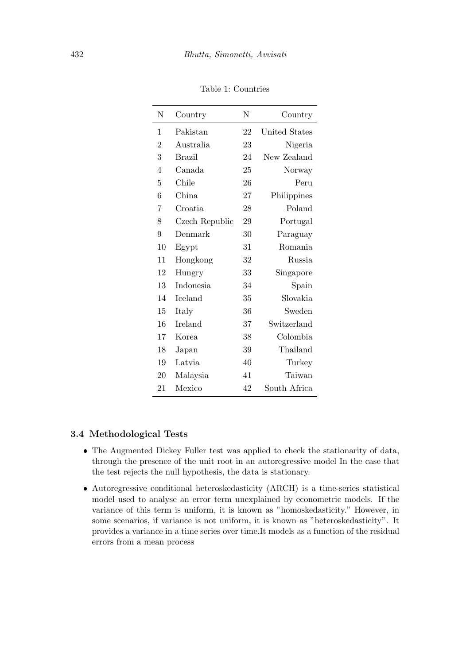| N              | Country        | N  | Country       |
|----------------|----------------|----|---------------|
| 1              | Pakistan       | 22 | United States |
| $\overline{2}$ | Australia      | 23 | Nigeria       |
| 3              | <b>Brazil</b>  | 24 | New Zealand   |
| $\overline{4}$ | Canada         | 25 | Norway        |
| 5              | Chile          | 26 | Peru          |
| 6              | China          | 27 | Philippines   |
| 7              | Croatia        | 28 | Poland        |
| 8              | Czech Republic | 29 | Portugal      |
| 9              | Denmark        | 30 | Paraguay      |
| 10             | Egypt          | 31 | Romania       |
| 11             | Hongkong       | 32 | Russia        |
| 12             | Hungry         | 33 | Singapore     |
| 13             | Indonesia      | 34 | Spain         |
| 14             | Iceland        | 35 | Slovakia      |
| 15             | Italy          | 36 | Sweden        |
| 16             | Ireland        | 37 | Switzerland   |
| 17             | Korea          | 38 | Colombia      |
| 18             | Japan          | 39 | Thailand      |
| 19             | Latvia         | 40 | Turkey        |
| 20             | Malaysia       | 41 | Taiwan        |
| 21             | Mexico         | 42 | South Africa  |

Table 1: Countries

### 3.4 Methodological Tests

- The Augmented Dickey Fuller test was applied to check the stationarity of data, through the presence of the unit root in an autoregressive model In the case that the test rejects the null hypothesis, the data is stationary.
- Autoregressive conditional heteroskedasticity (ARCH) is a time-series statistical model used to analyse an error term unexplained by econometric models. If the variance of this term is uniform, it is known as "homoskedasticity." However, in some scenarios, if variance is not uniform, it is known as "heteroskedasticity". It provides a variance in a time series over time.It models as a function of the residual errors from a mean process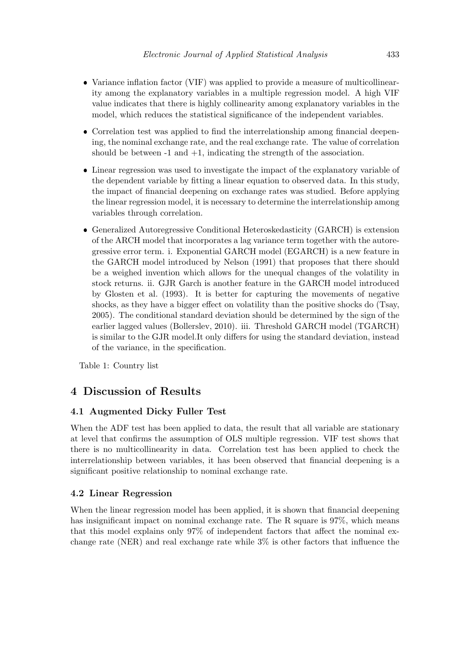- Variance inflation factor (VIF) was applied to provide a measure of multicollinearity among the explanatory variables in a multiple regression model. A high VIF value indicates that there is highly collinearity among explanatory variables in the model, which reduces the statistical significance of the independent variables.
- Correlation test was applied to find the interrelationship among financial deepening, the nominal exchange rate, and the real exchange rate. The value of correlation should be between  $-1$  and  $+1$ , indicating the strength of the association.
- Linear regression was used to investigate the impact of the explanatory variable of the dependent variable by fitting a linear equation to observed data. In this study, the impact of financial deepening on exchange rates was studied. Before applying the linear regression model, it is necessary to determine the interrelationship among variables through correlation.
- Generalized Autoregressive Conditional Heteroskedasticity (GARCH) is extension of the ARCH model that incorporates a lag variance term together with the autoregressive error term. i. Exponential GARCH model (EGARCH) is a new feature in the GARCH model introduced by Nelson (1991) that proposes that there should be a weighed invention which allows for the unequal changes of the volatility in stock returns. ii. GJR Garch is another feature in the GARCH model introduced by Glosten et al. (1993). It is better for capturing the movements of negative shocks, as they have a bigger effect on volatility than the positive shocks do (Tsay, 2005). The conditional standard deviation should be determined by the sign of the earlier lagged values (Bollerslev, 2010). iii. Threshold GARCH model (TGARCH) is similar to the GJR model.It only differs for using the standard deviation, instead of the variance, in the specification.

Table 1: Country list

# 4 Discussion of Results

#### 4.1 Augmented Dicky Fuller Test

When the ADF test has been applied to data, the result that all variable are stationary at level that confirms the assumption of OLS multiple regression. VIF test shows that there is no multicollinearity in data. Correlation test has been applied to check the interrelationship between variables, it has been observed that financial deepening is a significant positive relationship to nominal exchange rate.

#### 4.2 Linear Regression

When the linear regression model has been applied, it is shown that financial deepening has insignificant impact on nominal exchange rate. The R square is  $97\%$ , which means that this model explains only 97% of independent factors that affect the nominal exchange rate (NER) and real exchange rate while  $3\%$  is other factors that influence the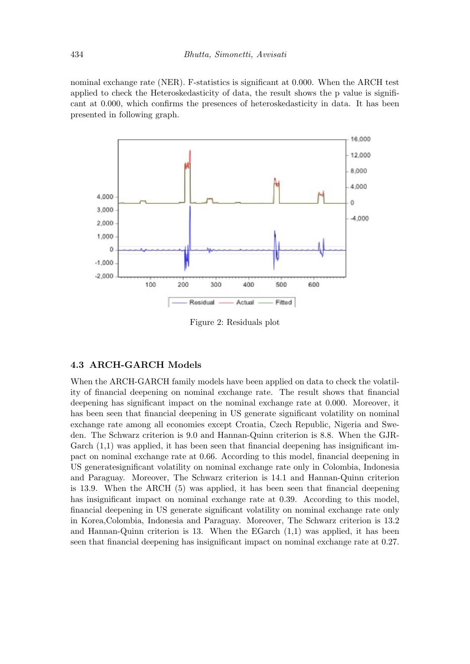nominal exchange rate (NER). F-statistics is significant at 0.000. When the ARCH test applied to check the Heteroskedasticity of data, the result shows the p value is significant at 0.000, which confirms the presences of heteroskedasticity in data. It has been presented in following graph.



Figure 2: Residuals plot

#### 4.3 ARCH-GARCH Models

When the ARCH-GARCH family models have been applied on data to check the volatility of financial deepening on nominal exchange rate. The result shows that financial deepening has significant impact on the nominal exchange rate at 0.000. Moreover, it has been seen that financial deepening in US generate significant volatility on nominal exchange rate among all economies except Croatia, Czech Republic, Nigeria and Sweden. The Schwarz criterion is 9.0 and Hannan-Quinn criterion is 8.8. When the GJR-Garch  $(1,1)$  was applied, it has been seen that financial deepening has insignificant impact on nominal exchange rate at 0.66. According to this model, financial deepening in US generatesignificant volatility on nominal exchange rate only in Colombia, Indonesia and Paraguay. Moreover, The Schwarz criterion is 14.1 and Hannan-Quinn criterion is 13.9. When the ARCH (5) was applied, it has been seen that financial deepening has insignificant impact on nominal exchange rate at 0.39. According to this model, financial deepening in US generate significant volatility on nominal exchange rate only in Korea,Colombia, Indonesia and Paraguay. Moreover, The Schwarz criterion is 13.2 and Hannan-Quinn criterion is 13. When the EGarch (1,1) was applied, it has been seen that financial deepening has insignificant impact on nominal exchange rate at 0.27.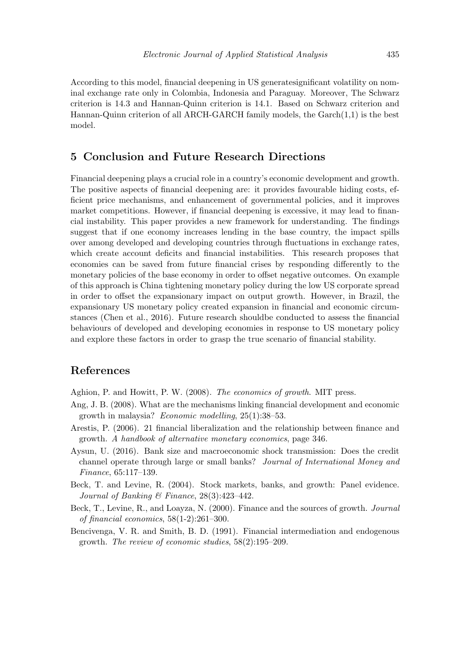According to this model, financial deepening in US generatesignificant volatility on nominal exchange rate only in Colombia, Indonesia and Paraguay. Moreover, The Schwarz criterion is 14.3 and Hannan-Quinn criterion is 14.1. Based on Schwarz criterion and Hannan-Quinn criterion of all ARCH-GARCH family models, the Garch(1,1) is the best model.

## 5 Conclusion and Future Research Directions

Financial deepening plays a crucial role in a country's economic development and growth. The positive aspects of financial deepening are: it provides favourable hiding costs, efficient price mechanisms, and enhancement of governmental policies, and it improves market competitions. However, if financial deepening is excessive, it may lead to financial instability. This paper provides a new framework for understanding. The findings suggest that if one economy increases lending in the base country, the impact spills over among developed and developing countries through fluctuations in exchange rates, which create account deficits and financial instabilities. This research proposes that economies can be saved from future financial crises by responding differently to the monetary policies of the base economy in order to offset negative outcomes. On example of this approach is China tightening monetary policy during the low US corporate spread in order to offset the expansionary impact on output growth. However, in Brazil, the expansionary US monetary policy created expansion in financial and economic circumstances (Chen et al., 2016). Future research shouldbe conducted to assess the financial behaviours of developed and developing economies in response to US monetary policy and explore these factors in order to grasp the true scenario of financial stability.

## References

Aghion, P. and Howitt, P. W. (2008). The economics of growth. MIT press.

- Ang, J. B. (2008). What are the mechanisms linking financial development and economic growth in malaysia? Economic modelling, 25(1):38–53.
- Arestis, P. (2006). 21 financial liberalization and the relationship between finance and growth. A handbook of alternative monetary economics, page 346.
- Aysun, U. (2016). Bank size and macroeconomic shock transmission: Does the credit channel operate through large or small banks? Journal of International Money and Finance, 65:117–139.
- Beck, T. and Levine, R. (2004). Stock markets, banks, and growth: Panel evidence. Journal of Banking & Finance, 28(3):423–442.
- Beck, T., Levine, R., and Loayza, N. (2000). Finance and the sources of growth. Journal of financial economics, 58(1-2):261–300.
- Bencivenga, V. R. and Smith, B. D. (1991). Financial intermediation and endogenous growth. The review of economic studies, 58(2):195–209.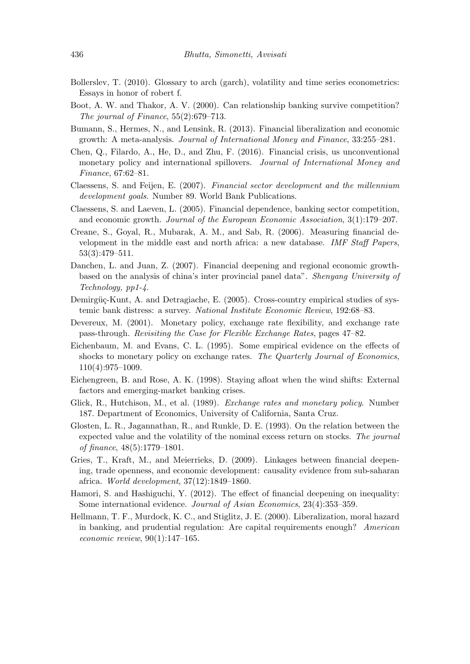- Bollerslev, T. (2010). Glossary to arch (garch), volatility and time series econometrics: Essays in honor of robert f.
- Boot, A. W. and Thakor, A. V. (2000). Can relationship banking survive competition? The journal of Finance, 55(2):679–713.
- Bumann, S., Hermes, N., and Lensink, R. (2013). Financial liberalization and economic growth: A meta-analysis. Journal of International Money and Finance, 33:255–281.
- Chen, Q., Filardo, A., He, D., and Zhu, F. (2016). Financial crisis, us unconventional monetary policy and international spillovers. Journal of International Money and Finance, 67:62–81.
- Claessens, S. and Feijen, E. (2007). Financial sector development and the millennium development goals. Number 89. World Bank Publications.
- Claessens, S. and Laeven, L. (2005). Financial dependence, banking sector competition, and economic growth. Journal of the European Economic Association, 3(1):179–207.
- Creane, S., Goyal, R., Mubarak, A. M., and Sab, R. (2006). Measuring financial development in the middle east and north africa: a new database. IMF Staff Papers, 53(3):479–511.
- Danchen, L. and Juan, Z. (2007). Financial deepening and regional economic growthbased on the analysis of china's inter provincial panel data". Shenyang University of Technology, pp1-4.
- Demirgüç-Kunt, A. and Detragiache, E. (2005). Cross-country empirical studies of systemic bank distress: a survey. National Institute Economic Review, 192:68–83.
- Devereux, M. (2001). Monetary policy, exchange rate flexibility, and exchange rate pass-through. Revisiting the Case for Flexible Exchange Rates, pages 47–82.
- Eichenbaum, M. and Evans, C. L. (1995). Some empirical evidence on the effects of shocks to monetary policy on exchange rates. The Quarterly Journal of Economics, 110(4):975–1009.
- Eichengreen, B. and Rose, A. K. (1998). Staying afloat when the wind shifts: External factors and emerging-market banking crises.
- Glick, R., Hutchison, M., et al. (1989). Exchange rates and monetary policy. Number 187. Department of Economics, University of California, Santa Cruz.
- Glosten, L. R., Jagannathan, R., and Runkle, D. E. (1993). On the relation between the expected value and the volatility of the nominal excess return on stocks. The journal of finance, 48(5):1779–1801.
- Gries, T., Kraft, M., and Meierrieks, D. (2009). Linkages between financial deepening, trade openness, and economic development: causality evidence from sub-saharan africa. World development, 37(12):1849–1860.
- Hamori, S. and Hashiguchi, Y. (2012). The effect of financial deepening on inequality: Some international evidence. Journal of Asian Economics, 23(4):353–359.
- Hellmann, T. F., Murdock, K. C., and Stiglitz, J. E. (2000). Liberalization, moral hazard in banking, and prudential regulation: Are capital requirements enough? American economic review, 90(1):147–165.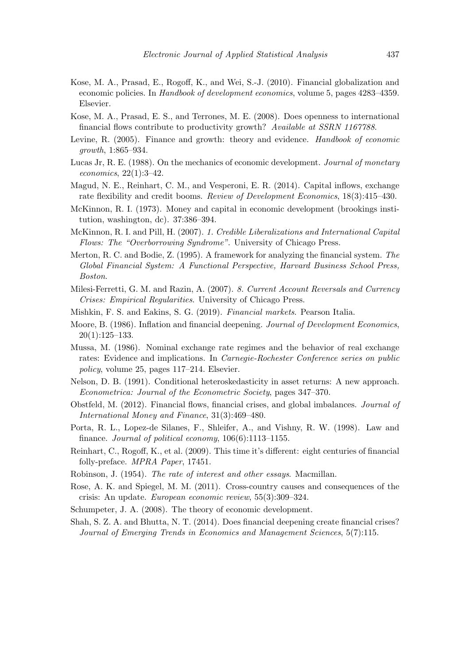- Kose, M. A., Prasad, E., Rogoff, K., and Wei, S.-J. (2010). Financial globalization and economic policies. In Handbook of development economics, volume 5, pages 4283–4359. Elsevier.
- Kose, M. A., Prasad, E. S., and Terrones, M. E. (2008). Does openness to international financial flows contribute to productivity growth? Available at SSRN 1167788.
- Levine, R. (2005). Finance and growth: theory and evidence. *Handbook of economic* growth, 1:865–934.
- Lucas Jr, R. E. (1988). On the mechanics of economic development. Journal of monetary economics, 22(1):3–42.
- Magud, N. E., Reinhart, C. M., and Vesperoni, E. R. (2014). Capital inflows, exchange rate flexibility and credit booms. Review of Development Economics, 18(3):415–430.
- McKinnon, R. I. (1973). Money and capital in economic development (brookings institution, washington, dc). 37:386–394.
- McKinnon, R. I. and Pill, H. (2007). 1. Credible Liberalizations and International Capital Flows: The "Overborrowing Syndrome". University of Chicago Press.
- Merton, R. C. and Bodie, Z. (1995). A framework for analyzing the financial system. The Global Financial System: A Functional Perspective, Harvard Business School Press, Boston.
- Milesi-Ferretti, G. M. and Razin, A. (2007). 8. Current Account Reversals and Currency Crises: Empirical Regularities. University of Chicago Press.
- Mishkin, F. S. and Eakins, S. G. (2019). Financial markets. Pearson Italia.
- Moore, B. (1986). Inflation and financial deepening. Journal of Development Economics,  $20(1):125-133.$
- Mussa, M. (1986). Nominal exchange rate regimes and the behavior of real exchange rates: Evidence and implications. In Carnegie-Rochester Conference series on public policy, volume 25, pages 117–214. Elsevier.
- Nelson, D. B. (1991). Conditional heteroskedasticity in asset returns: A new approach. Econometrica: Journal of the Econometric Society, pages 347–370.
- Obstfeld, M. (2012). Financial flows, financial crises, and global imbalances. Journal of International Money and Finance, 31(3):469–480.
- Porta, R. L., Lopez-de Silanes, F., Shleifer, A., and Vishny, R. W. (1998). Law and finance. Journal of political economy, 106(6):1113–1155.
- Reinhart, C., Rogoff, K., et al. (2009). This time it's different: eight centuries of financial folly-preface. MPRA Paper, 17451.
- Robinson, J. (1954). The rate of interest and other essays. Macmillan.
- Rose, A. K. and Spiegel, M. M. (2011). Cross-country causes and consequences of the crisis: An update. European economic review, 55(3):309–324.
- Schumpeter, J. A. (2008). The theory of economic development.
- Shah, S. Z. A. and Bhutta, N. T. (2014). Does financial deepening create financial crises? Journal of Emerging Trends in Economics and Management Sciences, 5(7):115.